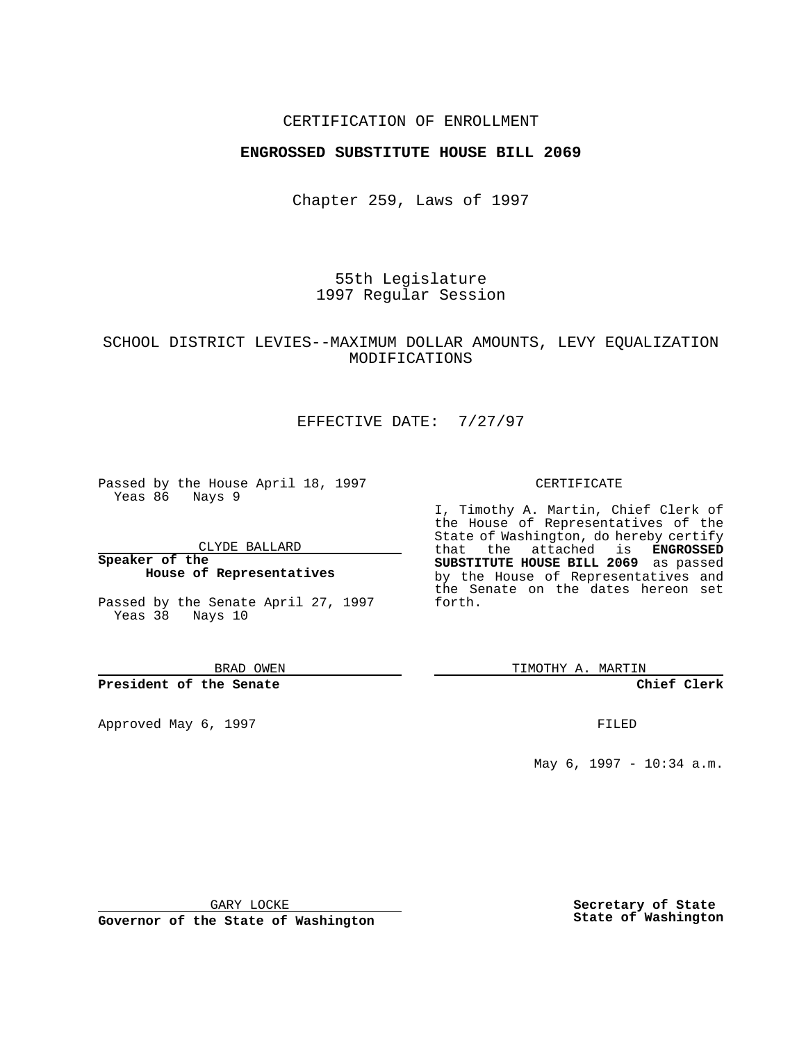### CERTIFICATION OF ENROLLMENT

## **ENGROSSED SUBSTITUTE HOUSE BILL 2069**

Chapter 259, Laws of 1997

55th Legislature 1997 Regular Session

## SCHOOL DISTRICT LEVIES--MAXIMUM DOLLAR AMOUNTS, LEVY EQUALIZATION MODIFICATIONS

# EFFECTIVE DATE: 7/27/97

Passed by the House April 18, 1997 Yeas 86 Nays 9

CLYDE BALLARD

**Speaker of the House of Representatives**

Passed by the Senate April 27, 1997 Yeas 38 Nays 10

BRAD OWEN

#### **President of the Senate**

Approved May 6, 1997 **FILED** 

#### CERTIFICATE

I, Timothy A. Martin, Chief Clerk of the House of Representatives of the State of Washington, do hereby certify that the attached is **ENGROSSED SUBSTITUTE HOUSE BILL 2069** as passed by the House of Representatives and the Senate on the dates hereon set forth.

TIMOTHY A. MARTIN

#### **Chief Clerk**

May 6, 1997 - 10:34 a.m.

GARY LOCKE

**Governor of the State of Washington**

**Secretary of State State of Washington**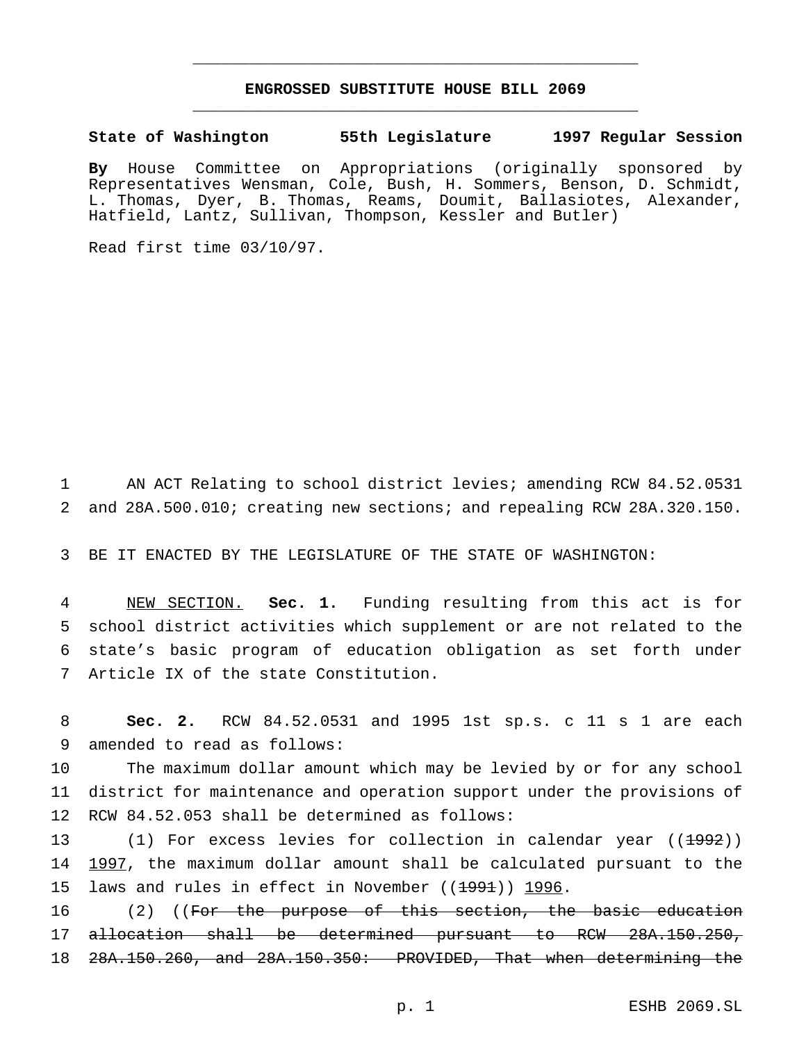# **ENGROSSED SUBSTITUTE HOUSE BILL 2069** \_\_\_\_\_\_\_\_\_\_\_\_\_\_\_\_\_\_\_\_\_\_\_\_\_\_\_\_\_\_\_\_\_\_\_\_\_\_\_\_\_\_\_\_\_\_\_

\_\_\_\_\_\_\_\_\_\_\_\_\_\_\_\_\_\_\_\_\_\_\_\_\_\_\_\_\_\_\_\_\_\_\_\_\_\_\_\_\_\_\_\_\_\_\_

**State of Washington 55th Legislature 1997 Regular Session**

**By** House Committee on Appropriations (originally sponsored by Representatives Wensman, Cole, Bush, H. Sommers, Benson, D. Schmidt, L. Thomas, Dyer, B. Thomas, Reams, Doumit, Ballasiotes, Alexander, Hatfield, Lantz, Sullivan, Thompson, Kessler and Butler)

Read first time 03/10/97.

1 AN ACT Relating to school district levies; amending RCW 84.52.0531 2 and 28A.500.010; creating new sections; and repealing RCW 28A.320.150.

3 BE IT ENACTED BY THE LEGISLATURE OF THE STATE OF WASHINGTON:

 NEW SECTION. **Sec. 1.** Funding resulting from this act is for school district activities which supplement or are not related to the state's basic program of education obligation as set forth under Article IX of the state Constitution.

8 **Sec. 2.** RCW 84.52.0531 and 1995 1st sp.s. c 11 s 1 are each 9 amended to read as follows:

10 The maximum dollar amount which may be levied by or for any school 11 district for maintenance and operation support under the provisions of 12 RCW 84.52.053 shall be determined as follows:

13 (1) For excess levies for collection in calendar year ((<del>1992</del>)) 14 1997, the maximum dollar amount shall be calculated pursuant to the 15 laws and rules in effect in November  $((1991))$  1996.

16 (2) ((For the purpose of this section, the basic education 17 allocation shall be determined pursuant to RCW 28A.150.250, 18 28A.150.260, and 28A.150.350: PROVIDED, That when determining the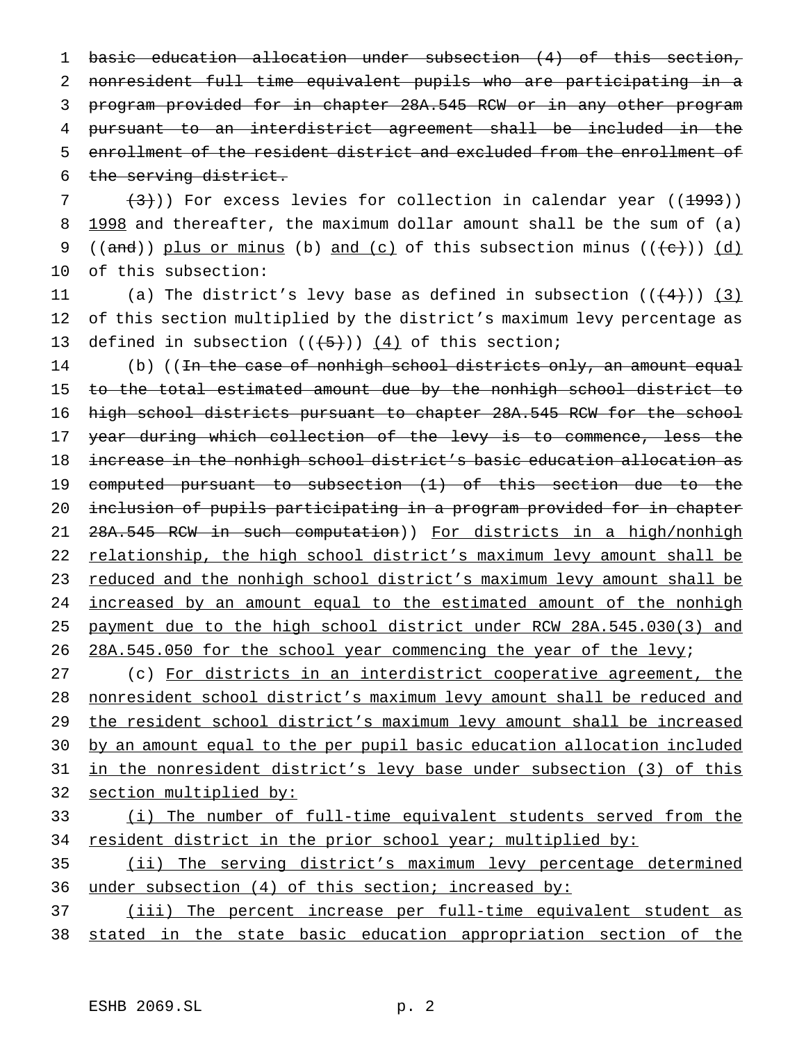basic education allocation under subsection (4) of this section, nonresident full time equivalent pupils who are participating in a program provided for in chapter 28A.545 RCW or in any other program pursuant to an interdistrict agreement shall be included in the enrollment of the resident district and excluded from the enrollment of the serving district.

 $7$   $(3)$ )) For excess levies for collection in calendar year ((1993)) 8 1998 and thereafter, the maximum dollar amount shall be the sum of (a) 9 ((and)) plus or minus (b) and (c) of this subsection minus (( $\left(\frac{e}{c}\right)$ ) (d) 10 of this subsection:

11 (a) The district's levy base as defined in subsection  $((\langle 4 \rangle) )$  (3) 12 of this section multiplied by the district's maximum levy percentage as 13 defined in subsection  $((+5))$   $(4)$  of this section;

14 (b) ((In the case of nonhigh school districts only, an amount equal 15 to the total estimated amount due by the nonhigh school district to 16 high school districts pursuant to chapter 28A.545 RCW for the school 17 year during which collection of the levy is to commence, less the 18 increase in the nonhigh school district's basic education allocation as 19 computed pursuant to subsection (1) of this section due to the 20 inclusion of pupils participating in a program provided for in chapter 21 28A.545 RCW in such computation)) For districts in a high/nonhigh 22 relationship, the high school district's maximum levy amount shall be 23 reduced and the nonhigh school district's maximum levy amount shall be 24 increased by an amount equal to the estimated amount of the nonhigh 25 payment due to the high school district under RCW 28A.545.030(3) and 26 28A.545.050 for the school year commencing the year of the levy;

 (c) For districts in an interdistrict cooperative agreement, the nonresident school district's maximum levy amount shall be reduced and 29 the resident school district's maximum levy amount shall be increased by an amount equal to the per pupil basic education allocation included in the nonresident district's levy base under subsection (3) of this section multiplied by:

# 33 (i) The number of full-time equivalent students served from the 34 resident district in the prior school year; multiplied by:

35 (ii) The serving district's maximum levy percentage determined 36 under subsection (4) of this section; increased by:

37 (iii) The percent increase per full-time equivalent student as 38 stated in the state basic education appropriation section of the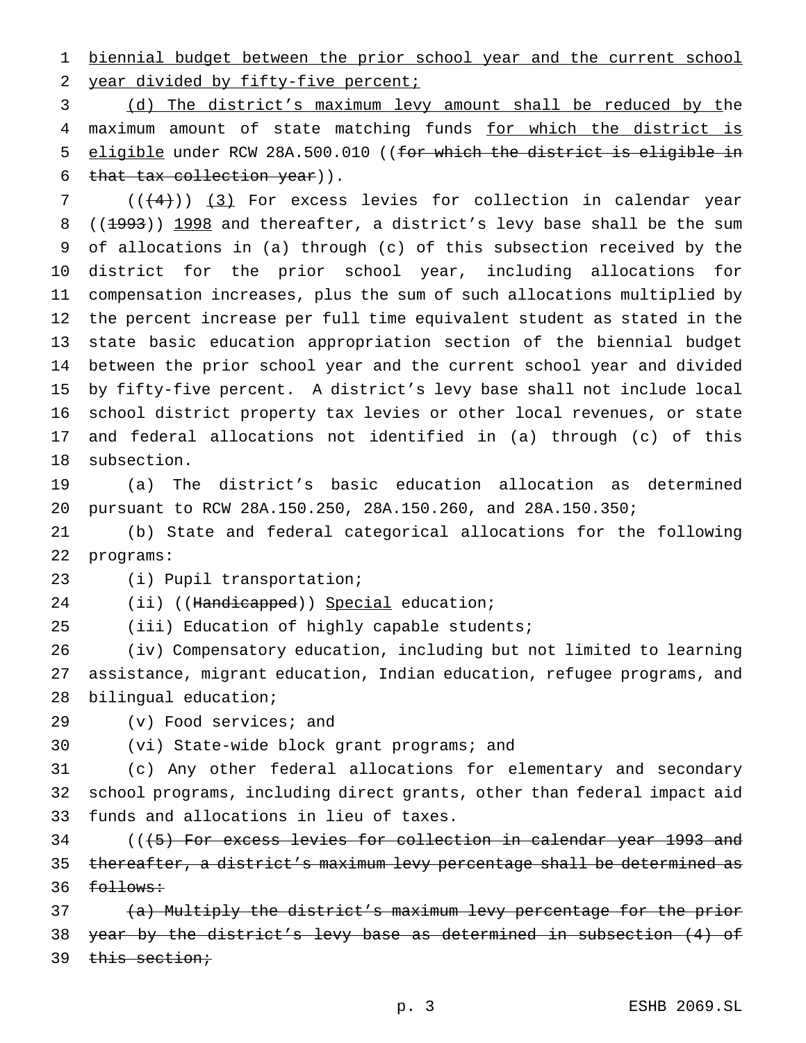biennial budget between the prior school year and the current school 2 year divided by fifty-five percent;

 (d) The district's maximum levy amount shall be reduced by the 4 maximum amount of state matching funds for which the district is 5 eligible under RCW 28A.500.010 ((for which the district is eligible in that tax collection year)).

 (( $(4)$ )) (3) For excess levies for collection in calendar year 8 ((1993)) 1998 and thereafter, a district's levy base shall be the sum of allocations in (a) through (c) of this subsection received by the district for the prior school year, including allocations for compensation increases, plus the sum of such allocations multiplied by the percent increase per full time equivalent student as stated in the state basic education appropriation section of the biennial budget between the prior school year and the current school year and divided by fifty-five percent. A district's levy base shall not include local school district property tax levies or other local revenues, or state and federal allocations not identified in (a) through (c) of this subsection.

 (a) The district's basic education allocation as determined pursuant to RCW 28A.150.250, 28A.150.260, and 28A.150.350;

 (b) State and federal categorical allocations for the following programs:

(i) Pupil transportation;

24 (ii) ((Handicapped)) Special education; (iii) Education of highly capable students;

 (iv) Compensatory education, including but not limited to learning assistance, migrant education, Indian education, refugee programs, and

bilingual education;

(v) Food services; and

(vi) State-wide block grant programs; and

 (c) Any other federal allocations for elementary and secondary school programs, including direct grants, other than federal impact aid funds and allocations in lieu of taxes.

34 (((5) For excess levies for collection in calendar year 1993 and thereafter, a district's maximum levy percentage shall be determined as 36 <del>follows:</del>

 (a) Multiply the district's maximum levy percentage for the prior year by the district's levy base as determined in subsection (4) of 39 this section;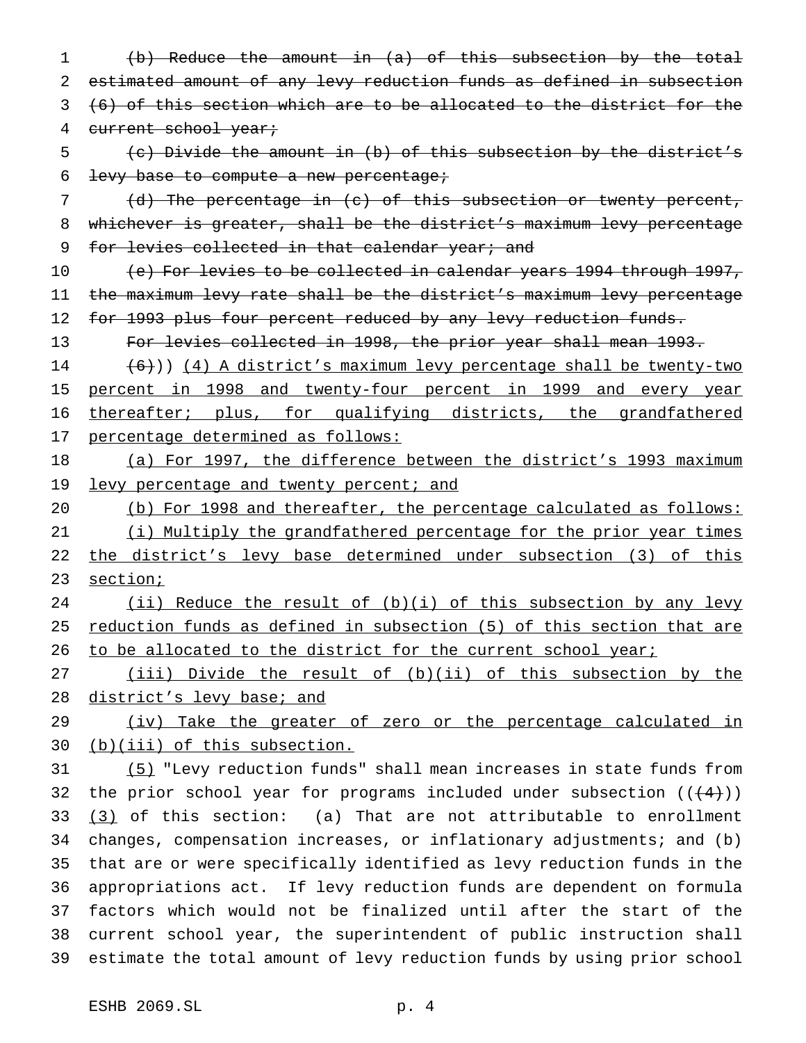(b) Reduce the amount in (a) of this subsection by the total estimated amount of any levy reduction funds as defined in subsection (6) of this section which are to be allocated to the district for the 4 current school year; (c) Divide the amount in (b) of this subsection by the district's levy base to compute a new percentage; (d) The percentage in (c) of this subsection or twenty percent, whichever is greater, shall be the district's maximum levy percentage 9 for levies collected in that calendar year; and (e) For levies to be collected in calendar years 1994 through 1997, the maximum levy rate shall be the district's maximum levy percentage 12 for 1993 plus four percent reduced by any levy reduction funds. For levies collected in 1998, the prior year shall mean 1993. 14 (6)) (4) A district's maximum levy percentage shall be twenty-two percent in 1998 and twenty-four percent in 1999 and every year 16 thereafter; plus, for qualifying districts, the grandfathered 17 percentage determined as follows: (a) For 1997, the difference between the district's 1993 maximum 19 levy percentage and twenty percent; and (b) For 1998 and thereafter, the percentage calculated as follows: (i) Multiply the grandfathered percentage for the prior year times 22 the district's levy base determined under subsection (3) of this 23 section; (ii) Reduce the result of (b)(i) of this subsection by any levy 25 reduction funds as defined in subsection (5) of this section that are 26 to be allocated to the district for the current school year; (iii) Divide the result of (b)(ii) of this subsection by the 28 district's levy base; and (iv) Take the greater of zero or the percentage calculated in (b)(iii) of this subsection. (5) "Levy reduction funds" shall mean increases in state funds from 32 the prior school year for programs included under subsection  $((+4))$  $(3)$  of this section: (a) That are not attributable to enrollment changes, compensation increases, or inflationary adjustments; and (b) that are or were specifically identified as levy reduction funds in the appropriations act. If levy reduction funds are dependent on formula factors which would not be finalized until after the start of the current school year, the superintendent of public instruction shall estimate the total amount of levy reduction funds by using prior school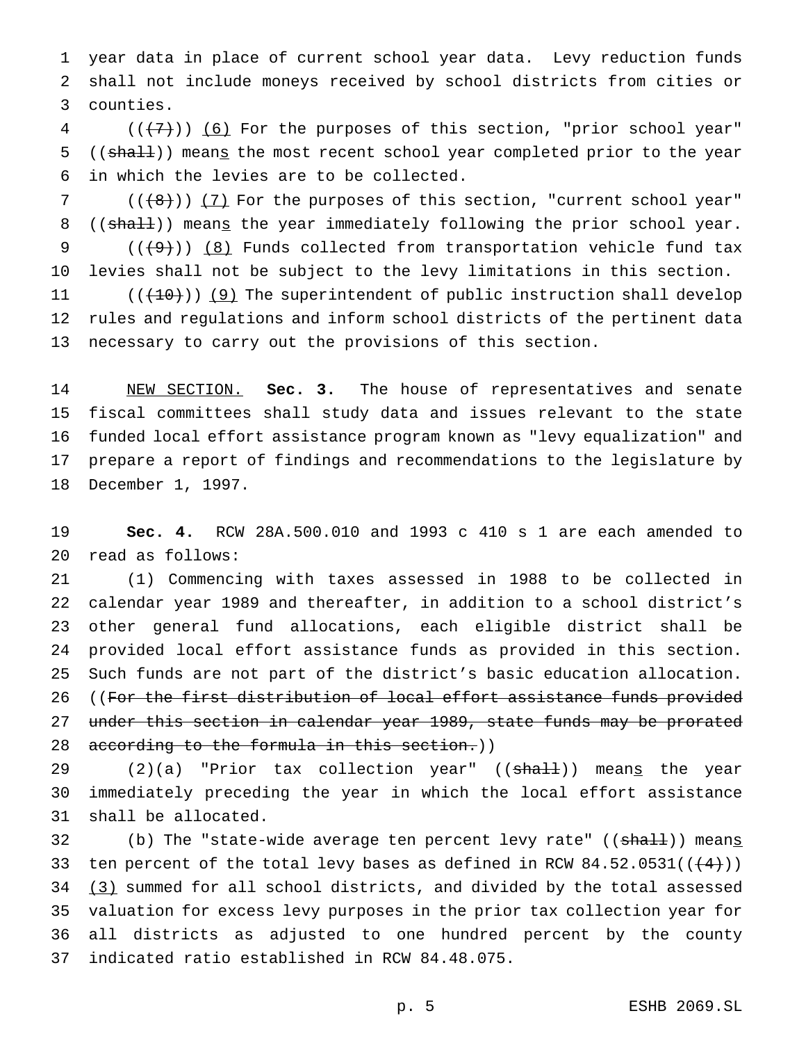year data in place of current school year data. Levy reduction funds shall not include moneys received by school districts from cities or counties.

 (( $(7)$ )) (6) For the purposes of this section, "prior school year" 5 ((shall)) means the most recent school year completed prior to the year in which the levies are to be collected.

7 (((8))) (7) For the purposes of this section, "current school year" 8 ((shall)) means the year immediately following the prior school year. 9  $((+9))$   $(8)$  Funds collected from transportation vehicle fund tax levies shall not be subject to the levy limitations in this section.

 $((+10))$  (9) The superintendent of public instruction shall develop rules and regulations and inform school districts of the pertinent data necessary to carry out the provisions of this section.

 NEW SECTION. **Sec. 3.** The house of representatives and senate fiscal committees shall study data and issues relevant to the state funded local effort assistance program known as "levy equalization" and prepare a report of findings and recommendations to the legislature by December 1, 1997.

 **Sec. 4.** RCW 28A.500.010 and 1993 c 410 s 1 are each amended to read as follows:

 (1) Commencing with taxes assessed in 1988 to be collected in calendar year 1989 and thereafter, in addition to a school district's other general fund allocations, each eligible district shall be provided local effort assistance funds as provided in this section. Such funds are not part of the district's basic education allocation. 26 ((For the first distribution of local effort assistance funds provided under this section in calendar year 1989, state funds may be prorated 28 according to the formula in this section.))

29 (2)(a) "Prior tax collection year" ((shall)) means the year immediately preceding the year in which the local effort assistance shall be allocated.

32 (b) The "state-wide average ten percent levy rate" ((shall)) means 33 ten percent of the total levy bases as defined in RCW  $84.52.0531((\leftarrow 4))$ 34 (3) summed for all school districts, and divided by the total assessed valuation for excess levy purposes in the prior tax collection year for all districts as adjusted to one hundred percent by the county indicated ratio established in RCW 84.48.075.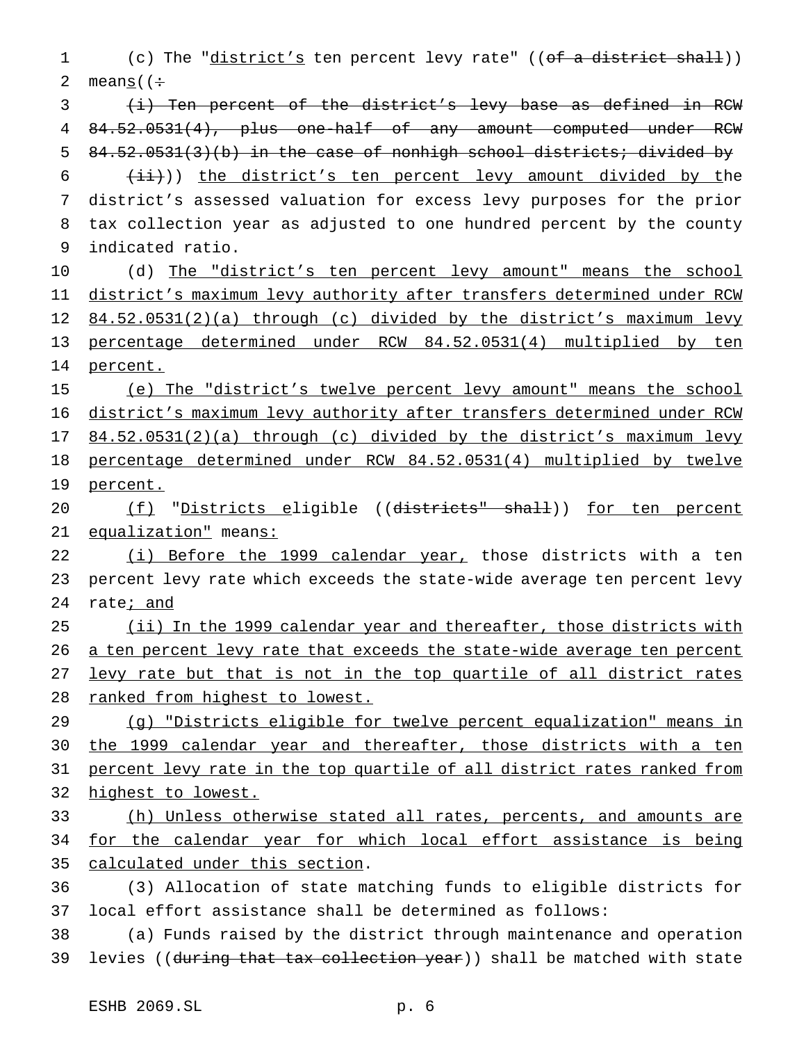1 (c) The "district's ten percent levy rate" ((of a district shall)) 2 means  $($   $\div$ 

3 (i) Ten percent of the district's levy base as defined in RCW 4 84.52.0531(4), plus one-half of any amount computed under RCW 5 84.52.0531(3)(b) in the case of nonhigh school districts; divided by

  $(iii)$ ) the district's ten percent levy amount divided by the district's assessed valuation for excess levy purposes for the prior tax collection year as adjusted to one hundred percent by the county indicated ratio.

10 (d) The "district's ten percent levy amount" means the school 11 district's maximum levy authority after transfers determined under RCW 12 84.52.0531(2)(a) through (c) divided by the district's maximum levy 13 percentage determined under RCW 84.52.0531(4) multiplied by ten 14 percent.

15 (e) The "district's twelve percent levy amount" means the school 16 district's maximum levy authority after transfers determined under RCW 17 84.52.0531(2)(a) through (c) divided by the district's maximum levy 18 percentage determined under RCW 84.52.0531(4) multiplied by twelve 19 percent.

20 (f) "Districts eligible ((districts" shall)) for ten percent 21 equalization" means:

22 (i) Before the 1999 calendar year, those districts with a ten 23 percent levy rate which exceeds the state-wide average ten percent levy 24 rate; and

 (ii) In the 1999 calendar year and thereafter, those districts with 26 a ten percent levy rate that exceeds the state-wide average ten percent levy rate but that is not in the top quartile of all district rates ranked from highest to lowest.

29 (g) "Districts eligible for twelve percent equalization" means in 30 the 1999 calendar year and thereafter, those districts with a ten 31 percent levy rate in the top quartile of all district rates ranked from 32 highest to lowest.

33 (h) Unless otherwise stated all rates, percents, and amounts are 34 for the calendar year for which local effort assistance is being 35 calculated under this section.

36 (3) Allocation of state matching funds to eligible districts for 37 local effort assistance shall be determined as follows:

38 (a) Funds raised by the district through maintenance and operation 39 levies ((during that tax collection year)) shall be matched with state